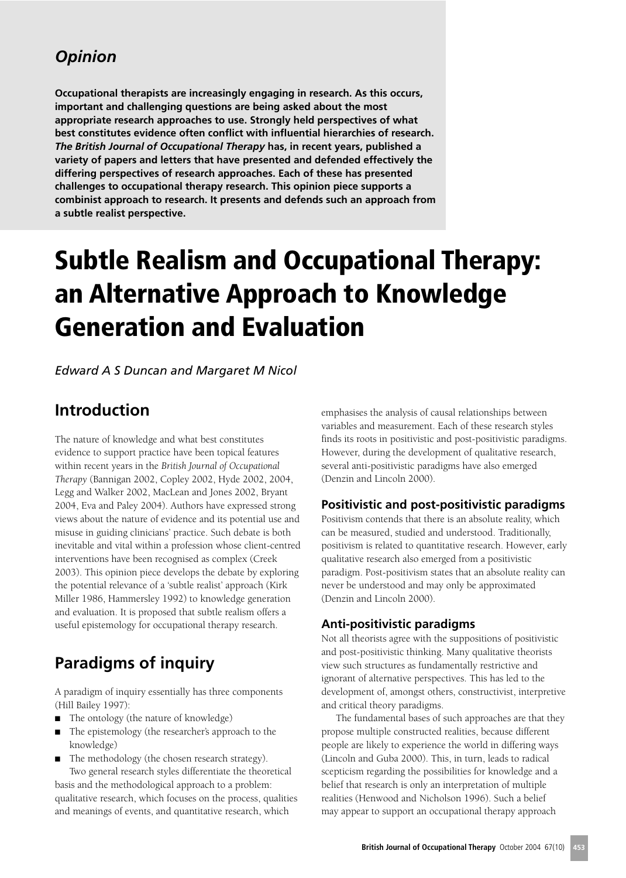## **Opinion**

Occupational therapists are increasingly engaging in research. As this occurs, important and challenging questions are being asked about the most appropriate research approaches to use. Strongly held perspectives of what best constitutes evidence often conflict with influential hierarchies of research. The British Journal of Occupational Therapy has, in recent years, published a variety of papers and letters that have presented and defended effectively the differing perspectives of research approaches. Each of these has presented challenges to occupational therapy research. This opinion piece supports a combinist approach to research. It presents and defends such an approach from a subtle realist perspective.

# **Subtle Realism and Occupational Therapy:** an Alternative Approach to Knowledge **Generation and Evaluation**

**Edward A S Duncan and Margaret M Nicol** 

### **Introduction**

The nature of knowledge and what best constitutes evidence to support practice have been topical features within recent years in the British Journal of Occupational Therapy (Bannigan 2002, Copley 2002, Hyde 2002, 2004, Legg and Walker 2002, MacLean and Jones 2002, Bryant 2004, Eva and Paley 2004). Authors have expressed strong views about the nature of evidence and its potential use and misuse in guiding clinicians' practice. Such debate is both inevitable and vital within a profession whose client-centred interventions have been recognised as complex (Creek 2003). This opinion piece develops the debate by exploring the potential relevance of a 'subtle realist' approach (Kirk Miller 1986, Hammersley 1992) to knowledge generation and evaluation. It is proposed that subtle realism offers a useful epistemology for occupational therapy research.

# **Paradigms of inquiry**

A paradigm of inquiry essentially has three components (Hill Bailey 1997):

- The ontology (the nature of knowledge)
- The epistemology (the researcher's approach to the knowledge)

The methodology (the chosen research strategy). Two general research styles differentiate the theoretical basis and the methodological approach to a problem: qualitative research, which focuses on the process, qualities and meanings of events, and quantitative research, which

emphasises the analysis of causal relationships between variables and measurement. Each of these research styles finds its roots in positivistic and post-positivistic paradigms. However, during the development of qualitative research, several anti-positivistic paradigms have also emerged (Denzin and Lincoln 2000).

#### Positivistic and post-positivistic paradigms

Positivism contends that there is an absolute reality, which can be measured, studied and understood. Traditionally, positivism is related to quantitative research. However, early qualitative research also emerged from a positivistic paradigm. Post-positivism states that an absolute reality can never be understood and may only be approximated (Denzin and Lincoln 2000).

#### **Anti-positivistic paradigms**

Not all theorists agree with the suppositions of positivistic and post-positivistic thinking. Many qualitative theorists view such structures as fundamentally restrictive and ignorant of alternative perspectives. This has led to the development of, amongst others, constructivist, interpretive and critical theory paradigms.

The fundamental bases of such approaches are that they propose multiple constructed realities, because different people are likely to experience the world in differing ways (Lincoln and Guba 2000). This, in turn, leads to radical scepticism regarding the possibilities for knowledge and a belief that research is only an interpretation of multiple realities (Henwood and Nicholson 1996). Such a belief may appear to support an occupational therapy approach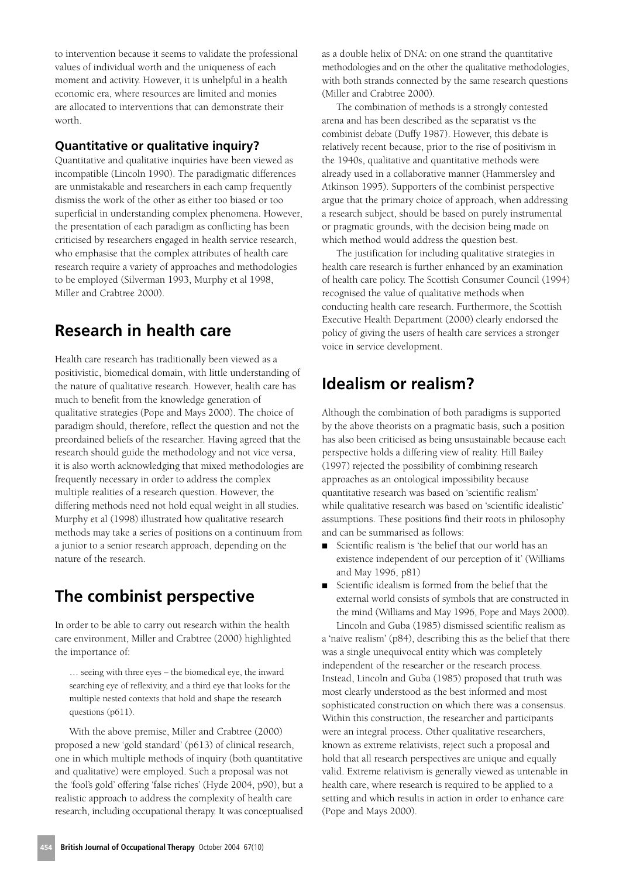to intervention because it seems to validate the professional values of individual worth and the uniqueness of each moment and activity. However, it is unhelpful in a health economic era, where resources are limited and monies are allocated to interventions that can demonstrate their worth

#### **Quantitative or qualitative inquiry?**

Quantitative and qualitative inquiries have been viewed as incompatible (Lincoln 1990). The paradigmatic differences are unmistakable and researchers in each camp frequently dismiss the work of the other as either too biased or too superficial in understanding complex phenomena. However, the presentation of each paradigm as conflicting has been criticised by researchers engaged in health service research, who emphasise that the complex attributes of health care research require a variety of approaches and methodologies to be employed (Silverman 1993, Murphy et al 1998, Miller and Crabtree 2000).

### Research in health care

Health care research has traditionally been viewed as a positivistic, biomedical domain, with little understanding of the nature of qualitative research. However, health care has much to benefit from the knowledge generation of qualitative strategies (Pope and Mays 2000). The choice of paradigm should, therefore, reflect the question and not the preordained beliefs of the researcher. Having agreed that the research should guide the methodology and not vice versa, it is also worth acknowledging that mixed methodologies are frequently necessary in order to address the complex multiple realities of a research question. However, the differing methods need not hold equal weight in all studies. Murphy et al (1998) illustrated how qualitative research methods may take a series of positions on a continuum from a junior to a senior research approach, depending on the nature of the research.

### The combinist perspective

In order to be able to carry out research within the health care environment, Miller and Crabtree (2000) highlighted the importance of:

... seeing with three eyes - the biomedical eye, the inward searching eye of reflexivity, and a third eye that looks for the multiple nested contexts that hold and shape the research questions (p611).

With the above premise, Miller and Crabtree (2000) proposed a new 'gold standard' (p613) of clinical research, one in which multiple methods of inquiry (both quantitative and qualitative) were employed. Such a proposal was not the 'fool's gold' offering 'false riches' (Hyde 2004, p90), but a realistic approach to address the complexity of health care research, including occupational therapy. It was conceptualised

as a double helix of DNA: on one strand the quantitative methodologies and on the other the qualitative methodologies, with both strands connected by the same research questions (Miller and Crabtree 2000).

The combination of methods is a strongly contested arena and has been described as the separatist vs the combinist debate (Duffy 1987). However, this debate is relatively recent because, prior to the rise of positivism in the 1940s, qualitative and quantitative methods were already used in a collaborative manner (Hammersley and Atkinson 1995). Supporters of the combinist perspective argue that the primary choice of approach, when addressing a research subject, should be based on purely instrumental or pragmatic grounds, with the decision being made on which method would address the question best.

The justification for including qualitative strategies in health care research is further enhanced by an examination of health care policy. The Scottish Consumer Council (1994) recognised the value of qualitative methods when conducting health care research. Furthermore, the Scottish Executive Health Department (2000) clearly endorsed the policy of giving the users of health care services a stronger voice in service development.

### **Idealism or realism?**

Although the combination of both paradigms is supported by the above theorists on a pragmatic basis, such a position has also been criticised as being unsustainable because each perspective holds a differing view of reality. Hill Bailey (1997) rejected the possibility of combining research approaches as an ontological impossibility because quantitative research was based on 'scientific realism' while qualitative research was based on 'scientific idealistic' assumptions. These positions find their roots in philosophy and can be summarised as follows:

- Scientific realism is 'the belief that our world has an  $\blacksquare$ existence independent of our perception of it' (Williams and May 1996, p81)
- Scientific idealism is formed from the belief that the external world consists of symbols that are constructed in the mind (Williams and May 1996, Pope and Mays 2000).

Lincoln and Guba (1985) dismissed scientific realism as a 'naïve realism' (p84), describing this as the belief that there was a single unequivocal entity which was completely independent of the researcher or the research process. Instead, Lincoln and Guba (1985) proposed that truth was most clearly understood as the best informed and most sophisticated construction on which there was a consensus. Within this construction, the researcher and participants were an integral process. Other qualitative researchers, known as extreme relativists, reject such a proposal and hold that all research perspectives are unique and equally valid. Extreme relativism is generally viewed as untenable in health care, where research is required to be applied to a setting and which results in action in order to enhance care (Pope and Mays 2000).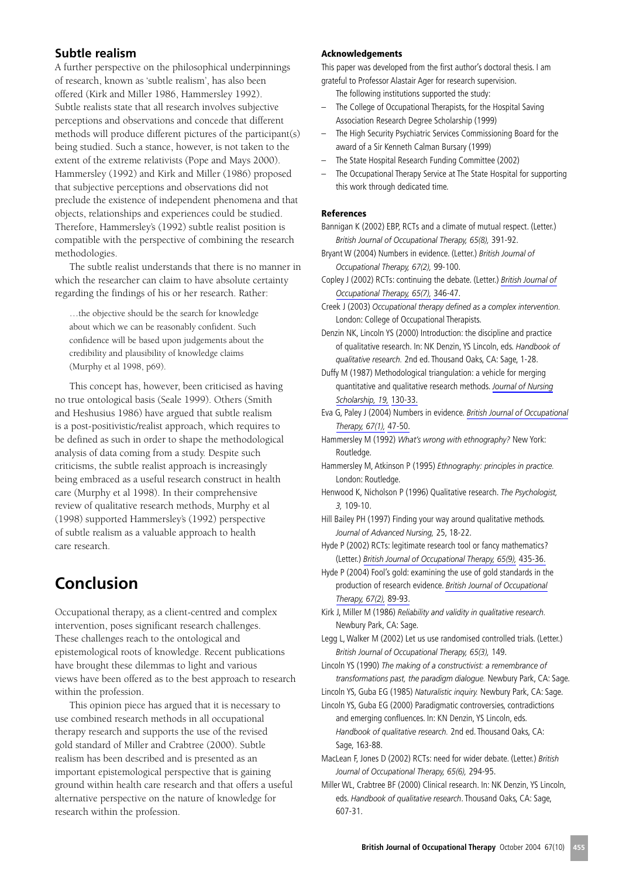#### **Subtle realism**

A further perspective on the philosophical underpinnings of research, known as 'subtle realism', has also been offered (Kirk and Miller 1986, Hammersley 1992). Subtle realists state that all research involves subjective perceptions and observations and concede that different methods will produce different pictures of the participant(s) being studied. Such a stance, however, is not taken to the extent of the extreme relativists (Pope and Mays 2000). Hammersley (1992) and Kirk and Miller (1986) proposed that subjective perceptions and observations did not preclude the existence of independent phenomena and that objects, relationships and experiences could be studied. Therefore, Hammersley's (1992) subtle realist position is compatible with the perspective of combining the research methodologies.

The subtle realist understands that there is no manner in which the researcher can claim to have absolute certainty regarding the findings of his or her research. Rather:

...the objective should be the search for knowledge about which we can be reasonably confident. Such confidence will be based upon judgements about the credibility and plausibility of knowledge claims (Murphy et al 1998, p69).

This concept has, however, been criticised as having no true ontological basis (Seale 1999). Others (Smith and Heshusius 1986) have argued that subtle realism is a post-positivistic/realist approach, which requires to be defined as such in order to shape the methodological analysis of data coming from a study. Despite such criticisms, the subtle realist approach is increasingly being embraced as a useful research construct in health care (Murphy et al 1998). In their comprehensive review of qualitative research methods, Murphy et al (1998) supported Hammersley's (1992) perspective of subtle realism as a valuable approach to health care research.

# **Conclusion**

Occupational therapy, as a client-centred and complex intervention, poses significant research challenges. These challenges reach to the ontological and epistemological roots of knowledge. Recent publications have brought these dilemmas to light and various views have been offered as to the best approach to research within the profession.

This opinion piece has argued that it is necessary to use combined research methods in all occupational therapy research and supports the use of the revised gold standard of Miller and Crabtree (2000). Subtle realism has been described and is presented as an important epistemological perspective that is gaining ground within health care research and that offers a useful alternative perspective on the nature of knowledge for research within the profession.

#### **Acknowledgements**

This paper was developed from the first author's doctoral thesis. I am grateful to Professor Alastair Ager for research supervision.

The following institutions supported the study:

- The College of Occupational Therapists, for the Hospital Saving  $\qquad \qquad -$ Association Research Degree Scholarship (1999)
- The High Security Psychiatric Services Commissioning Board for the  $\overline{a}$ award of a Sir Kenneth Calman Bursary (1999)
- The State Hospital Research Funding Committee (2002)
- The Occupational Therapy Service at The State Hospital for supporting this work through dedicated time.

#### **References**

Bannigan K (2002) EBP, RCTs and a climate of mutual respect. (Letter.) British Journal of Occupational Therapy, 65(8), 391-92.

- Bryant W (2004) Numbers in evidence. (Letter.) British Journal of Occupational Therapy, 67(2), 99-100.
- Copley J (2002) RCTs: continuing the debate. (Letter.) British Journal of Occupational Therapy, 65(7), 346-47.
- Creek J (2003) Occupational therapy defined as a complex intervention. London: College of Occupational Therapists.
- Denzin NK, Lincoln YS (2000) Introduction: the discipline and practice of qualitative research. In: NK Denzin, YS Lincoln, eds. Handbook of qualitative research. 2nd ed. Thousand Oaks, CA: Sage, 1-28.

- Eva G, Paley J (2004) Numbers in evidence. British Journal of Occupational Therapy, 67(1), 47-50.
- Hammersley M (1992) What's wrong with ethnography? New York: Routledae.
- Hammersley M, Atkinson P (1995) Ethnography: principles in practice. London: Routledge.
- Henwood K, Nicholson P (1996) Qualitative research. The Psychologist, 3, 109-10.
- Hill Bailey PH (1997) Finding your way around qualitative methods. Journal of Advanced Nursing, 25, 18-22.

Hyde P (2002) RCTs: legitimate research tool or fancy mathematics? (Letter.) British Journal of Occupational Therapy, 65(9), 435-36.

- Hyde P (2004) Fool's gold: examining the use of gold standards in the production of research evidence. British Journal of Occupational Therapy, 67(2), 89-93.
- Kirk J, Miller M (1986) Reliability and validity in qualitative research. Newbury Park, CA: Sage.
- Legg L, Walker M (2002) Let us use randomised controlled trials. (Letter.) British Journal of Occupational Therapy, 65(3), 149.

Lincoln YS (1990) The making of a constructivist: a remembrance of transformations past, the paradigm dialogue. Newbury Park, CA: Sage.

Lincoln YS, Guba EG (1985) Naturalistic inquiry. Newbury Park, CA: Sage. Lincoln YS, Guba EG (2000) Paradigmatic controversies, contradictions and emerging confluences. In: KN Denzin, YS Lincoln, eds. Handbook of qualitative research. 2nd ed. Thousand Oaks, CA: Sage, 163-88.

MacLean F, Jones D (2002) RCTs: need for wider debate. (Letter.) British Journal of Occupational Therapy, 65(6), 294-95.

Duffy M (1987) Methodological triangulation: a vehicle for merging quantitative and qualitative research methods. Journal of Nursing Scholarship, 19, 130-33.

Miller WL, Crabtree BF (2000) Clinical research. In: NK Denzin, YS Lincoln, eds. Handbook of qualitative research. Thousand Oaks, CA: Sage, 607-31.